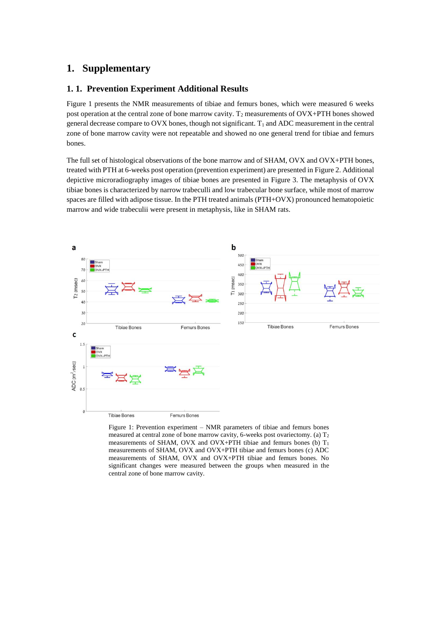## **1. Supplementary**

## **1. 1. Prevention Experiment Additional Results**

[Figure 1](#page-0-0) presents the NMR measurements of tibiae and femurs bones, which were measured 6 weeks post operation at the central zone of bone marrow cavity.  $T_2$  measurements of OVX+PTH bones showed general decrease compare to OVX bones, though not significant.  $T_1$  and ADC measurement in the central zone of bone marrow cavity were not repeatable and showed no one general trend for tibiae and femurs bones.

The full set of histological observations of the bone marrow and of SHAM, OVX and OVX+PTH bones, treated with PTH at 6-weeks post operation (prevention experiment) are presented in [Figure 2.](#page-1-0) Additional depictive microradiography images of tibiae bones are presented in [Figure 3.](#page-1-1) The metaphysis of OVX tibiae bones is characterized by narrow trabeculli and low trabecular bone surface, while most of marrow spaces are filled with adipose tissue. In the PTH treated animals (PTH+OVX) pronounced hematopoietic marrow and wide trabeculii were present in metaphysis, like in SHAM rats.



<span id="page-0-0"></span>Figure 1: Prevention experiment – NMR parameters of tibiae and femurs bones measured at central zone of bone marrow cavity, 6-weeks post ovariectomy. (a) T<sup>2</sup> measurements of SHAM, OVX and OVX+PTH tibiae and femurs bones (b) T<sup>1</sup> measurements of SHAM, OVX and OVX+PTH tibiae and femurs bones (c) ADC measurements of SHAM, OVX and OVX+PTH tibiae and femurs bones. No significant changes were measured between the groups when measured in the central zone of bone marrow cavity.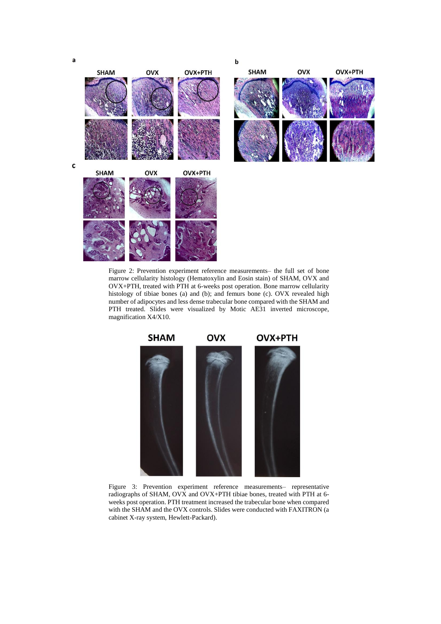a



<span id="page-1-0"></span>Figure 2: Prevention experiment reference measurements– the full set of bone marrow cellularity histology (Hematoxylin and Eosin stain) of SHAM, OVX and OVX+PTH, treated with PTH at 6-weeks post operation. Bone marrow cellularity histology of tibiae bones (a) and (b); and femurs bone (c). OVX revealed high number of adipocytes and less dense trabecular bone compared with the SHAM and PTH treated. Slides were visualized by Motic AE31 inverted microscope, magnification X4/X10.



<span id="page-1-1"></span>Figure 3: Prevention experiment reference measurements– representative radiographs of SHAM, OVX and OVX+PTH tibiae bones, treated with PTH at 6 weeks post operation. PTH treatment increased the trabecular bone when compared with the SHAM and the OVX controls. Slides were conducted with FAXITRON (a cabinet X-ray system, Hewlett-Packard).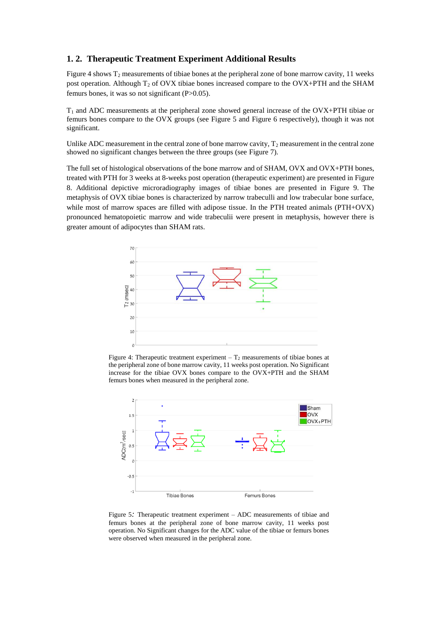## **1. 2. Therapeutic Treatment Experiment Additional Results**

[Figure 4](#page-2-0) shows  $T_2$  measurements of tibiae bones at the peripheral zone of bone marrow cavity, 11 weeks post operation. Although  $T_2$  of OVX tibiae bones increased compare to the OVX+PTH and the SHAM femurs bones, it was so not significant (P>0.05).

 $T_1$  and ADC measurements at the peripheral zone showed general increase of the OVX+PTH tibiae or femurs bones compare to the OVX groups (see [Figure 5](#page-2-1) and [Figure 6](#page-3-0) respectively), though it was not significant.

Unlike ADC measurement in the central zone of bone marrow cavity,  $T_2$  measurement in the central zone showed no significant changes between the three groups (see [Figure 7\)](#page-3-1).

The full set of histological observations of the bone marrow and of SHAM, OVX and OVX+PTH bones, treated with PTH for 3 weeks at 8-weeks post operation (therapeutic experiment) are presented in [Figure](#page-4-0)  [8.](#page-4-0) Additional depictive microradiography images of tibiae bones are presented in [Figure 9.](#page-4-1) The metaphysis of OVX tibiae bones is characterized by narrow trabeculli and low trabecular bone surface, while most of marrow spaces are filled with adipose tissue. In the PTH treated animals (PTH+OVX) pronounced hematopoietic marrow and wide trabeculii were present in metaphysis, however there is greater amount of adipocytes than SHAM rats.



<span id="page-2-0"></span>Figure 4: Therapeutic treatment experiment  $-$  T<sub>2</sub> measurements of tibiae bones at the peripheral zone of bone marrow cavity, 11 weeks post operation. No Significant increase for the tibiae OVX bones compare to the OVX+PTH and the SHAM femurs bones when measured in the peripheral zone.



<span id="page-2-1"></span>Figure 5*:* Therapeutic treatment experiment – ADC measurements of tibiae and femurs bones at the peripheral zone of bone marrow cavity, 11 weeks post operation. No Significant changes for the ADC value of the tibiae or femurs bones were observed when measured in the peripheral zone.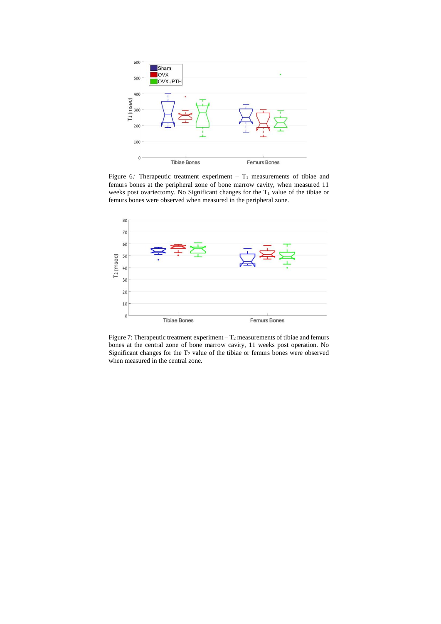

<span id="page-3-0"></span>Figure 6: Therapeutic treatment experiment  $-$  T<sub>1</sub> measurements of tibiae and femurs bones at the peripheral zone of bone marrow cavity, when measured 11 weeks post ovariectomy. No Significant changes for the T<sub>1</sub> value of the tibiae or femurs bones were observed when measured in the peripheral zone.



<span id="page-3-1"></span>Figure 7: Therapeutic treatment experiment  $-T_2$  measurements of tibiae and femurs bones at the central zone of bone marrow cavity, 11 weeks post operation. No Significant changes for the  $T_2$  value of the tibiae or femurs bones were observed when measured in the central zone.